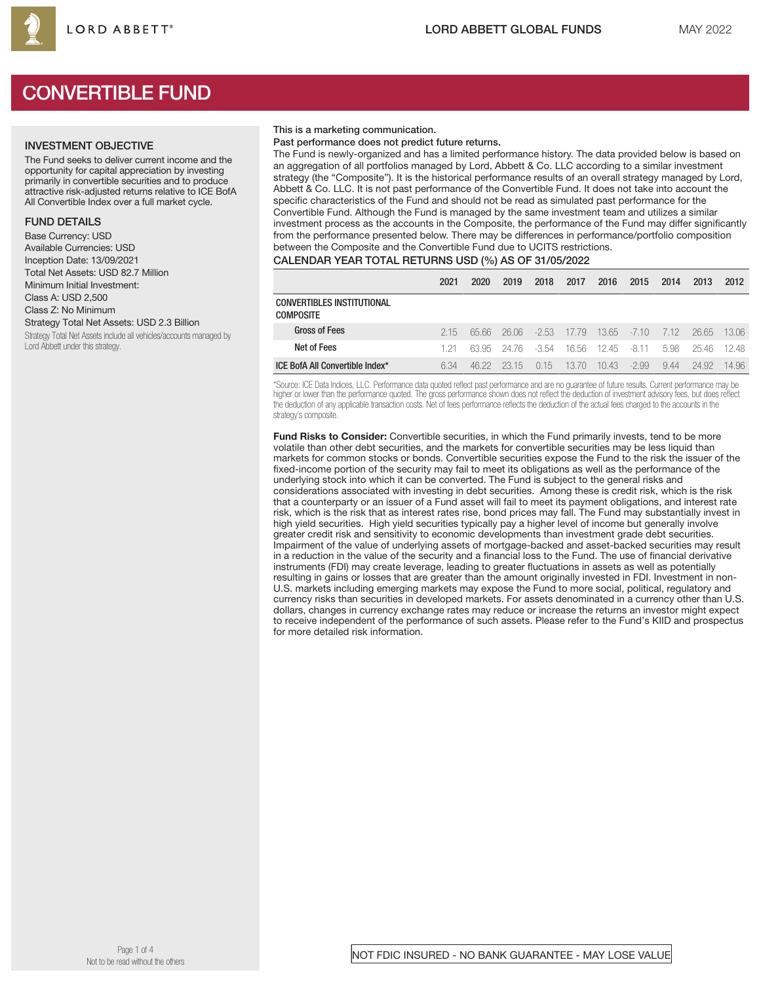

# CONVERTIBLE FUND

#### INVESTMENT OBJECTIVE

The Fund seeks to deliver current income and the opportunity for capital appreciation by investing primarily in convertible securities and to produce attractive risk-adjusted returns relative to ICE BofA All Convertible Index over a full market cycle.

## FUND DETAILS

Base Currency: USD Available Currencies: USD Inception Date: 13/09/2021 Total Net Assets: USD 82.7 Million Minimum Initial Investment: Class A: USD 2,500 Class Z: No Minimum Strategy Total Net Assets: USD 2.3 Billion Strategy Total Net Assets include all vehicles/accounts managed by Lord Abbett under this strategy.

## This is a marketing communication.

## Past performance does not predict future returns.

The Fund is newly-organized and has a limited performance history. The data provided below is based on an aggregation of all portfolios managed by Lord, Abbett & Co. LLC according to a similar investment strategy (the "Composite"). It is the historical performance results of an overall strategy managed by Lord, Abbett & Co. LLC. It is not past performance of the Convertible Fund. It does not take into account the specific characteristics of the Fund and should not be read as simulated past performance for the Convertible Fund. Although the Fund is managed by the same investment team and utilizes a similar investment process as the accounts in the Composite, the performance of the Fund may differ significantly from the performance presented below. There may be differences in performance/portfolio composition between the Composite and the Convertible Fund due to UCITS restrictions.

#### CALENDAR YEAR TOTAL RETURNS USD (%) AS OF 31/05/2022

|                                         | 2021 | 2020  | 2019   | 2018    | 2017   | 2016           | 2015    | 2014 | 2013  | 2012  |
|-----------------------------------------|------|-------|--------|---------|--------|----------------|---------|------|-------|-------|
| CONVERTIBLES INSTITUTIONAL<br>COMPOSITE |      |       |        |         |        |                |         |      |       |       |
| <b>Gross of Fees</b>                    | 2.15 | 65.66 | 26.06  | $-2.53$ | 17.79  | $13.65 - 7.10$ |         | 7.12 | 26.65 | 13.06 |
| Net of Fees                             | 1 21 | 63.95 | -24.76 | -3.54   | -16.56 | 12.45          | -8.11   | 5.98 | 25.46 | 12.48 |
| ICE BofA All Convertible Index*         | 6.34 | 46.22 | 23.15  | 0.15    | 13.70  | 10.43          | $-2.99$ | 9.44 | 24.92 | 14.96 |

\*Source: ICE Data Indices, LLC. Performance data quoted reflect past performance and are no guarantee of future results. Current performance may be higher or lower than the performance quoted. The gross performance shown does not reflect the deduction of investment advisory fees, but does reflect the deduction of any applicable transaction costs. Net of fees performance reflects the deduction of the actual fees charged to the accounts in the strategy's composite.

Fund Risks to Consider: Convertible securities, in which the Fund primarily invests, tend to be more volatile than other debt securities, and the markets for convertible securities may be less liquid than markets for common stocks or bonds. Convertible securities expose the Fund to the risk the issuer of the fixed-income portion of the security may fail to meet its obligations as well as the performance of the underlying stock into which it can be converted. The Fund is subject to the general risks and considerations associated with investing in debt securities. Among these is credit risk, which is the risk that a counterparty or an issuer of a Fund asset will fail to meet its payment obligations, and interest rate risk, which is the risk that as interest rates rise, bond prices may fall. The Fund may substantially invest in high yield securities. High yield securities typically pay a higher level of income but generally involve greater credit risk and sensitivity to economic developments than investment grade debt securities. Impairment of the value of underlying assets of mortgage-backed and asset-backed securities may result in a reduction in the value of the security and a financial loss to the Fund. The use of financial derivative instruments (FDI) may create leverage, leading to greater fluctuations in assets as well as potentially resulting in gains or losses that are greater than the amount originally invested in FDI. Investment in non-U.S. markets including emerging markets may expose the Fund to more social, political, regulatory and currency risks than securities in developed markets. For assets denominated in a currency other than U.S. dollars, changes in currency exchange rates may reduce or increase the returns an investor might expect to receive independent of the performance of such assets. Please refer to the Fund's KIID and prospectus for more detailed risk information.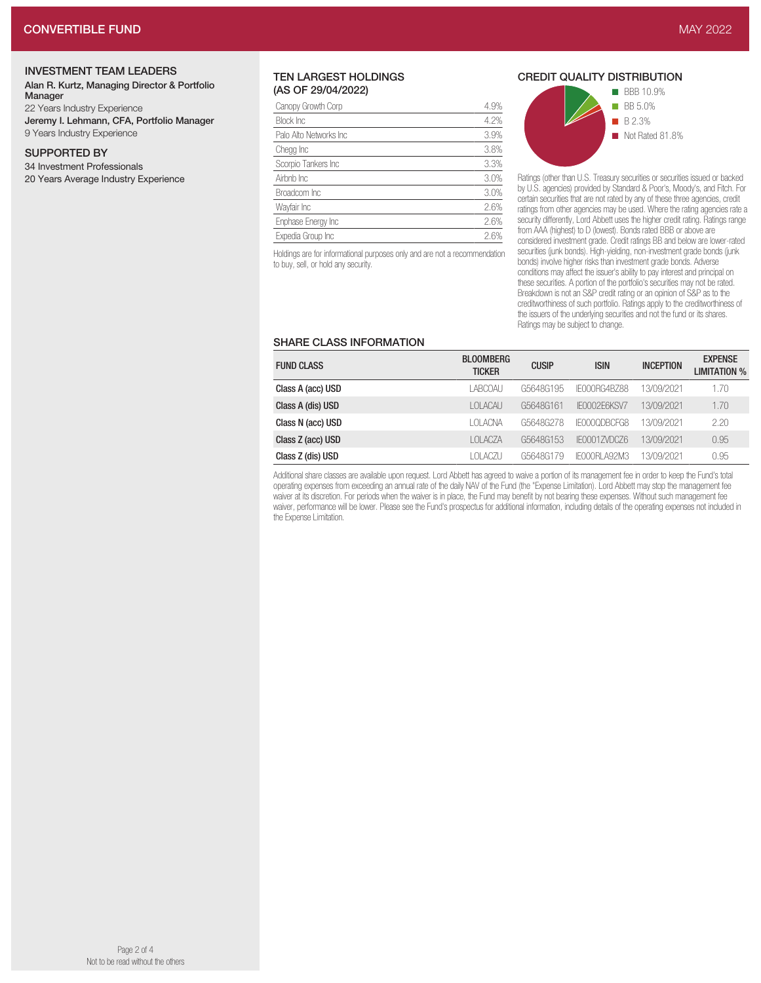# INVESTMENT TEAM LEADERS

#### Alan R. Kurtz, Managing Director & Portfolio Manager

22 Years Industry Experience Jeremy I. Lehmann, CFA, Portfolio Manager 9 Years Industry Experience

# SUPPORTED BY

34 Investment Professionals

20 Years Average Industry Experience

## TEN LARGEST HOLDINGS (AS OF 29/04/2022)

| Canopy Growth Corp     | 4.9% |
|------------------------|------|
| Block Inc              | 4.2% |
| Palo Alto Networks Inc | 3.9% |
| Chegg Inc              | 3.8% |
| Scorpio Tankers Inc    | 3.3% |
| Airbnb Inc             | 3.0% |
| Broadcom Inc           | 3.0% |
| Wayfair Inc            | 2.6% |
| Enphase Energy Inc     | 2.6% |
| Expedia Group Inc      | 2.6% |

Holdings are for informational purposes only and are not a recommendation to buy, sell, or hold any security.

# CREDIT QUALITY DISTRIBUTION



Ratings (other than U.S. Treasury securities or securities issued or backed by U.S. agencies) provided by Standard & Poor's, Moody's, and Fitch. For certain securities that are not rated by any of these three agencies, credit ratings from other agencies may be used. Where the rating agencies rate a security differently, Lord Abbett uses the higher credit rating. Ratings range from AAA (highest) to D (lowest). Bonds rated BBB or above are considered investment grade. Credit ratings BB and below are lower-rated securities (junk bonds). High-yielding, non-investment grade bonds (junk bonds) involve higher risks than investment grade bonds. Adverse conditions may affect the issuer's ability to pay interest and principal on these securities. A portion of the portfolio's securities may not be rated. Breakdown is not an S&P credit rating or an opinion of S&P as to the creditworthiness of such portfolio. Ratings apply to the creditworthiness of the issuers of the underlying securities and not the fund or its shares. Ratings may be subject to change.

# SHARE CLASS INFORMATION

| <b>FUND CLASS</b> | <b>BLOOMBERG</b><br><b>TICKER</b> | <b>CUSIP</b> | <b>ISIN</b>         | <b>INCEPTION</b> | <b>EXPENSE</b><br><b>LIMITATION %</b> |
|-------------------|-----------------------------------|--------------|---------------------|------------------|---------------------------------------|
| Class A (acc) USD | I ABCOAU                          | G5648G195    | JE000RG4B788        | 13/09/2021       | 1.70                                  |
| Class A (dis) USD | LOLACAU                           | G5648G161    | IF0002F6KSV7        | 13/09/2021       | 1.70                                  |
| Class N (acc) USD | LOLACNA                           | G5648G278    | <b>IFOOOODBCFG8</b> | 13/09/2021       | 2.20                                  |
| Class Z (acc) USD | LOLACZA                           | G5648G153    | <b>IF00017VDC76</b> | 13/09/2021       | 0.95                                  |
| Class Z (dis) USD | LOLACZU                           | G5648G179    | <b>IFOOORLA92M3</b> | 13/09/2021       | 0.95                                  |

Additional share classes are available upon request. Lord Abbett has agreed to waive a portion of its management fee in order to keep the Fund's total operating expenses from exceeding an annual rate of the daily NAV of the Fund (the "Expense Limitation). Lord Abbett may stop the management fee waiver at its discretion. For periods when the waiver is in place, the Fund may benefit by not bearing these expenses. Without such management fee waiver, performance will be lower. Please see the Fund's prospectus for additional information, including details of the operating expenses not included in the Expense Limitation.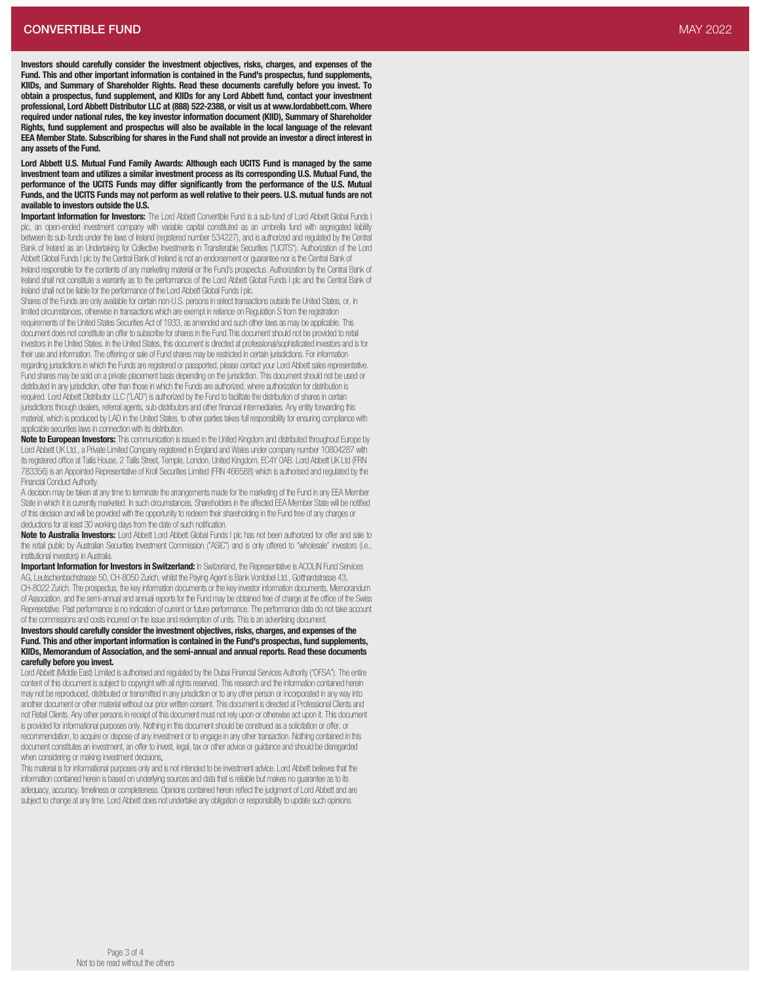Investors should carefully consider the investment objectives, risks, charges, and expenses of th e Fund. This and other important information is contained in the Fund's prospectus, fund supplements, KIIDs, and Summary of Shareholder Rights. Read these documents carefully before you invest. T o obtain a prospectus, fund supplement, and KIIDs for any Lord Abbett fund, contact your investmen t professional, Lord Abbett Distributor LLC at (888) 522-2388, or visit us at www.lordabbett.com. Wher e required under national rules, the key investor information document (KIID), Summary of Shareholde r Rights, fund supplement and prospectus will also be available in the local language of the relevan t EEA Member State. Subscribing for shares in the Fund shall not provide an investor a direct interest in any assets of the Fund.

Lord Abbett U.S. Mutual Fund Family Awards: Although each UCITS Fund is managed by the same investment team and utilizes a similar investment process as its corresponding U.S. Mutual Fund, the performance of the UCITS Funds may differ significantly from the performance of the U.S. Mutual Funds, and the UCITS Funds may not perform as well relative to their peers. U.S. mutual funds are not available to investors outside the U.S.

Important Information for Investors: The Lord Abbett Convertible Fund is a sub-fund of Lord Abbett Global Funds I plc, an open-ended investment company with variable capital constituted as an umbrella fund with segregated liability between its sub-funds under the laws of Ireland (registered number 534227), and is authorized and regulated by the Central<br>Bank of Ireland as an Undertaking for Collective Investments in Transferable Securities ("UCITS"). Abbett Global Funds I plc by the Central Bank of Ireland is not an endorsement or guarantee nor is the Central Bank of Ireland responsible for the contents of any marketing material or the Fund's prospectus. Authorization by the Central Bank of Ireland shall not constitute a warranty as to the performance of the Lord Abbett Global Funds I plc and the Central Bank of Ireland shall not be liable for the performance of the Lord Abbett Global Funds I plc.

Shares of the Funds are only available for certain non-U.S. persons in select transactions outside the United States, or, in limited circumstances, otherwise in transactions which are exempt in reliance on Regulation S from the registration requirements of the United States Securities Act of 1933, as amended and such other laws as may be applicable. This document does not constitute an offer to subscribe for shares in the Fund. This document should not be provided to retail investors in the United States. In the United States, this document is directed at professional/sophisticated investors and is for their use and information. The offering or sale of Fund shares may be restricted in certain jurisdictions. For information regarding jurisdictions in which the Fundsare registered or passported, please contact your Lord Abbett sales representative. Fund shares may be sold on a private placement basis depending on the jurisdiction. This document should not be used or distributed in any jurisdiction, other than those in which the Funds are authorized, where authorization for distribution is<br>required. Lord Abbett Distributor LLC ("LAD") is authorized by the Fund to facilitate the distrib required. Lord Abbett Distributor LLC ("LAD") is authorized by the Fund to facilitate the distribution of shares in certain<br>jurisdictions through dealers, referral agents, sub-distributors and other financial intermediarie material, which is produced by LAD in the United States, to other parties takes full responsibility for ensuring compliance with applicable securities laws in connection with its distribution.

Note to European Investors: This communication is issued in the United Kingdom and distributed throughout Europe by Lord Abbett UK Ltd., a Private Limited Company registered in England and Wales undercompany number 10804287 with its registered office at Tallis House, 2 Tallis Street, Temple, London, United Kingdom, EC4Y 0AB. Lord Abbett UK Ltd (FRN 783356) isan Appointed Representative of Kroll Securities Limited (FRN 466588) which isauthorised and regulated by the Financial Conduct Authority.

A decision may be taken at any time to terminate the arrangements made for the marketing of the Fund in any EEA Member State in which it iscurrently marketed. In such circumstances, Shareholders in the affected EEA Member State will be notified of this decision and will be provided with the opportunity to redeem their shareholding in the Fund free of any charges or deductions for at least 30 working days from the date of such notification.

Note to Australia Investors: Lord Abbett Lord Abbett Global Funds I plc has not been authorized for offer and sale to the retail public by Australian Securities Investment Commission ("ASIC") and is only offered to "wholesale" investors (i.e., institutional investors) in Australia.

Important Information for Investors in Switzerland: In Switzerland, the Representative is ACOLIN Fund Services AG, Leutschenbachstrasse 50, CH-8050 Zurich, whilst the Paying Agent is Bank Vontobel Ltd., Gotthardstrasse 43, CH-8022 Zurich. The prospectus, the key information documents or the key investor information documents, Memorandum of Association, and the semi-annual and annual reports for the Fund may be obtained free of charge at the office of the Swiss Represetative. Past performance is no indication of current or future performance. The performance data do not take account of the commissions and costs incurred on the issue and redemption of units. This is an advertising document.

Investors should carefully consider the investment objectives, risks, charges, and expenses of th e Fund. This and other important information is contained in the Fund's prospectus, fund supplements, KIIDs, Memorandum of Association, and the semi-annual and annual reports. Read these documents carefully before you invest.

Lord Abbett (Middle East) Limited is authorised and regulated by the Dubai Financial Services Authority ("DFSA"). The entire content of this document is subject to copyright with all rights reserved. This research and the information contained herein may not be reproduced, distributed or transmitted in any jurisdiction or to any other person or incorporated in any way into another document or other material without our prior written consent. This document is directed at Professional Clients and not Retail Clients. Any other persons in receipt of this document must not rely upon or otherwise act upon it. This document is provided for informational purposes only. Nothing in this document should be construed as a solicitation or offer, or recommendation, to acquire or dispose of any investment or to engage in any other transaction. Nothing contained in this document constitutes an investment, an offer to invest, legal, tax or other advice or guidance and should be disregarded when considering or making investment decisions.

This material is for informational purposes only and is not intended to be investment advice. Lord Abbett believes that the information contained herein is based on underlying sources and data that is reliable but makes no guarantee as to its adequacy, accuracy, timeliness or completeness. Opinions contained herein reflect the judgment of Lord Abbett and are subject to change at any time. Lord Abbett does not undertake any obligation or responsibility to update such opinions.